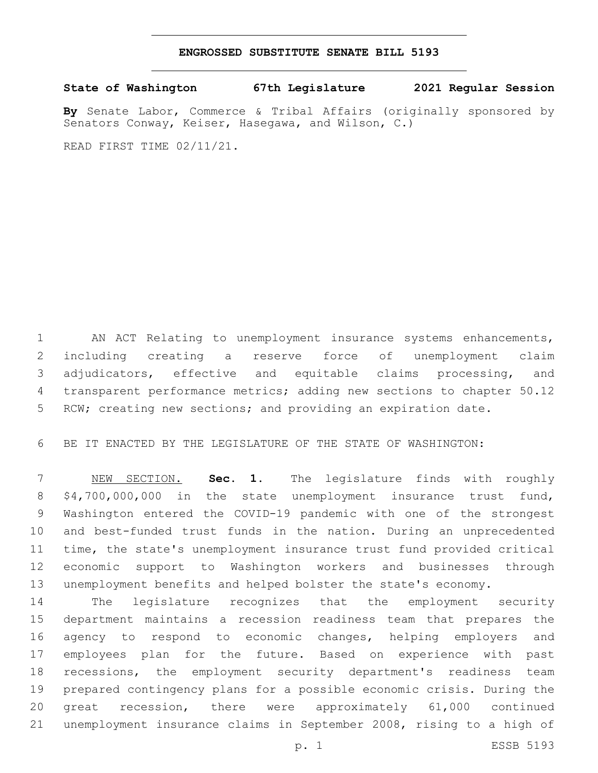## **ENGROSSED SUBSTITUTE SENATE BILL 5193**

**State of Washington 67th Legislature 2021 Regular Session**

**By** Senate Labor, Commerce & Tribal Affairs (originally sponsored by Senators Conway, Keiser, Hasegawa, and Wilson, C.)

READ FIRST TIME 02/11/21.

 AN ACT Relating to unemployment insurance systems enhancements, including creating a reserve force of unemployment claim adjudicators, effective and equitable claims processing, and transparent performance metrics; adding new sections to chapter 50.12 RCW; creating new sections; and providing an expiration date.

BE IT ENACTED BY THE LEGISLATURE OF THE STATE OF WASHINGTON:

 NEW SECTION. **Sec. 1.** The legislature finds with roughly \$4,700,000,000 in the state unemployment insurance trust fund, Washington entered the COVID-19 pandemic with one of the strongest and best-funded trust funds in the nation. During an unprecedented time, the state's unemployment insurance trust fund provided critical economic support to Washington workers and businesses through unemployment benefits and helped bolster the state's economy.

 The legislature recognizes that the employment security department maintains a recession readiness team that prepares the agency to respond to economic changes, helping employers and employees plan for the future. Based on experience with past recessions, the employment security department's readiness team prepared contingency plans for a possible economic crisis. During the great recession, there were approximately 61,000 continued unemployment insurance claims in September 2008, rising to a high of

p. 1 ESSB 5193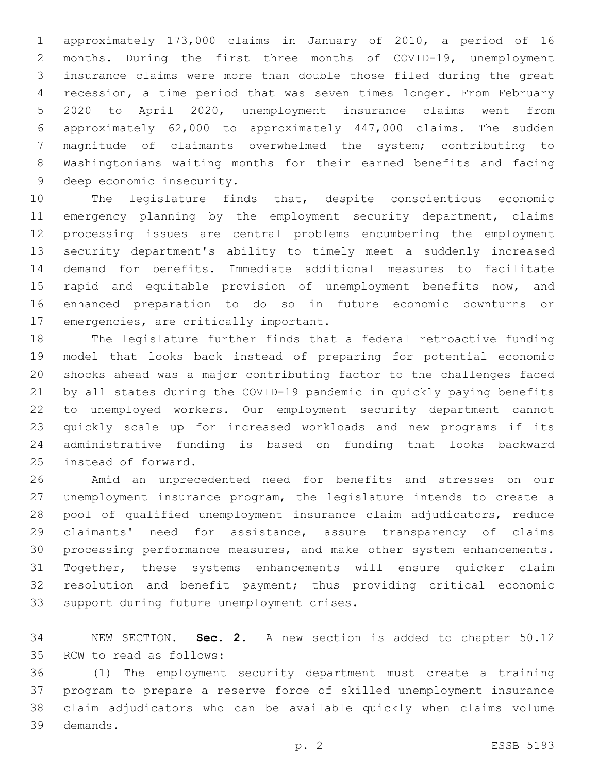approximately 173,000 claims in January of 2010, a period of 16 months. During the first three months of COVID-19, unemployment insurance claims were more than double those filed during the great recession, a time period that was seven times longer. From February 2020 to April 2020, unemployment insurance claims went from approximately 62,000 to approximately 447,000 claims. The sudden magnitude of claimants overwhelmed the system; contributing to Washingtonians waiting months for their earned benefits and facing 9 deep economic insecurity.

 The legislature finds that, despite conscientious economic emergency planning by the employment security department, claims processing issues are central problems encumbering the employment security department's ability to timely meet a suddenly increased demand for benefits. Immediate additional measures to facilitate 15 rapid and equitable provision of unemployment benefits now, and enhanced preparation to do so in future economic downturns or 17 emergencies, are critically important.

 The legislature further finds that a federal retroactive funding model that looks back instead of preparing for potential economic shocks ahead was a major contributing factor to the challenges faced by all states during the COVID-19 pandemic in quickly paying benefits to unemployed workers. Our employment security department cannot quickly scale up for increased workloads and new programs if its administrative funding is based on funding that looks backward 25 instead of forward.

 Amid an unprecedented need for benefits and stresses on our unemployment insurance program, the legislature intends to create a pool of qualified unemployment insurance claim adjudicators, reduce claimants' need for assistance, assure transparency of claims processing performance measures, and make other system enhancements. Together, these systems enhancements will ensure quicker claim resolution and benefit payment; thus providing critical economic 33 support during future unemployment crises.

 NEW SECTION. **Sec. 2.** A new section is added to chapter 50.12 35 RCW to read as follows:

 (1) The employment security department must create a training program to prepare a reserve force of skilled unemployment insurance claim adjudicators who can be available quickly when claims volume demands.39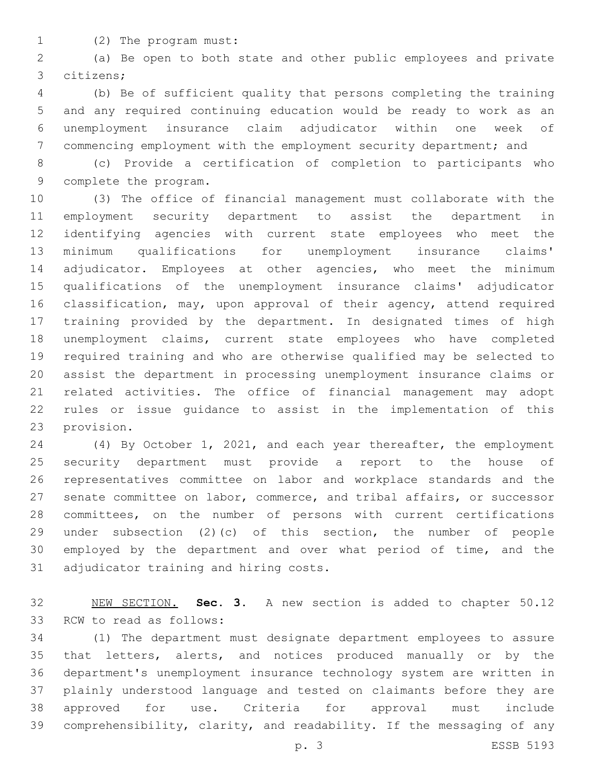- 
- 1 (2) The program must:

 (a) Be open to both state and other public employees and private citizens;3

 (b) Be of sufficient quality that persons completing the training and any required continuing education would be ready to work as an unemployment insurance claim adjudicator within one week of commencing employment with the employment security department; and

 (c) Provide a certification of completion to participants who 9 complete the program.

 (3) The office of financial management must collaborate with the employment security department to assist the department in identifying agencies with current state employees who meet the minimum qualifications for unemployment insurance claims' adjudicator. Employees at other agencies, who meet the minimum qualifications of the unemployment insurance claims' adjudicator classification, may, upon approval of their agency, attend required training provided by the department. In designated times of high unemployment claims, current state employees who have completed required training and who are otherwise qualified may be selected to assist the department in processing unemployment insurance claims or related activities. The office of financial management may adopt rules or issue guidance to assist in the implementation of this 23 provision.

 (4) By October 1, 2021, and each year thereafter, the employment security department must provide a report to the house of representatives committee on labor and workplace standards and the senate committee on labor, commerce, and tribal affairs, or successor committees, on the number of persons with current certifications under subsection (2)(c) of this section, the number of people employed by the department and over what period of time, and the 31 adjudicator training and hiring costs.

 NEW SECTION. **Sec. 3.** A new section is added to chapter 50.12 33 RCW to read as follows:

 (1) The department must designate department employees to assure that letters, alerts, and notices produced manually or by the department's unemployment insurance technology system are written in plainly understood language and tested on claimants before they are approved for use. Criteria for approval must include comprehensibility, clarity, and readability. If the messaging of any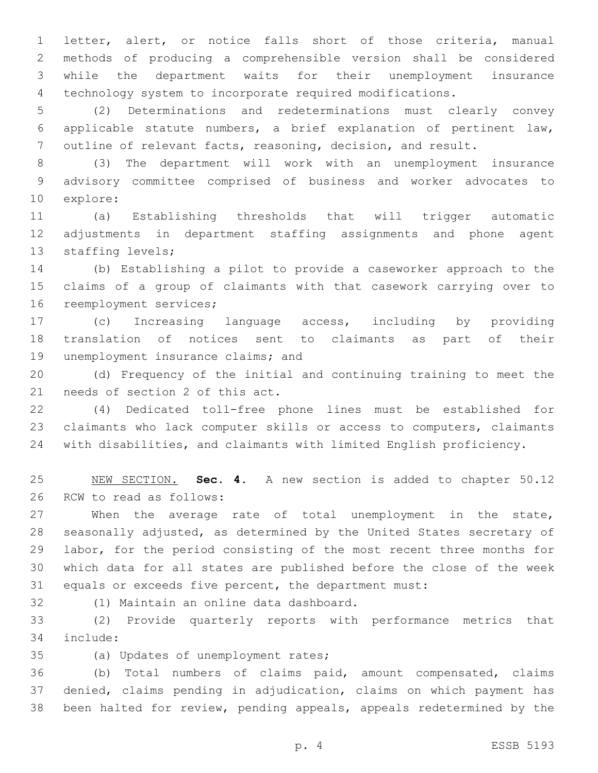letter, alert, or notice falls short of those criteria, manual methods of producing a comprehensible version shall be considered while the department waits for their unemployment insurance technology system to incorporate required modifications.

 (2) Determinations and redeterminations must clearly convey applicable statute numbers, a brief explanation of pertinent law, outline of relevant facts, reasoning, decision, and result.

 (3) The department will work with an unemployment insurance advisory committee comprised of business and worker advocates to 10 explore:

 (a) Establishing thresholds that will trigger automatic adjustments in department staffing assignments and phone agent 13 staffing levels;

 (b) Establishing a pilot to provide a caseworker approach to the claims of a group of claimants with that casework carrying over to 16 reemployment services;

 (c) Increasing language access, including by providing translation of notices sent to claimants as part of their 19 unemployment insurance claims; and

 (d) Frequency of the initial and continuing training to meet the 21 needs of section 2 of this act.

 (4) Dedicated toll-free phone lines must be established for claimants who lack computer skills or access to computers, claimants with disabilities, and claimants with limited English proficiency.

 NEW SECTION. **Sec. 4.** A new section is added to chapter 50.12 26 RCW to read as follows:

 When the average rate of total unemployment in the state, seasonally adjusted, as determined by the United States secretary of labor, for the period consisting of the most recent three months for which data for all states are published before the close of the week equals or exceeds five percent, the department must:

32 (1) Maintain an online data dashboard.

 (2) Provide quarterly reports with performance metrics that include:34

35 (a) Updates of unemployment rates;

 (b) Total numbers of claims paid, amount compensated, claims denied, claims pending in adjudication, claims on which payment has been halted for review, pending appeals, appeals redetermined by the

p. 4 ESSB 5193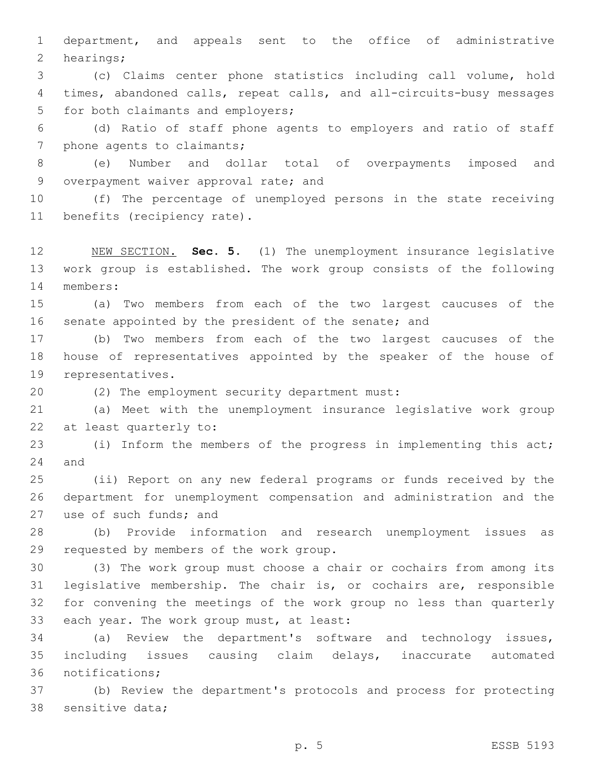1 department, and appeals sent to the office of administrative 2 hearings;

3 (c) Claims center phone statistics including call volume, hold 4 times, abandoned calls, repeat calls, and all-circuits-busy messages 5 for both claimants and employers;

6 (d) Ratio of staff phone agents to employers and ratio of staff 7 phone agents to claimants;

8 (e) Number and dollar total of overpayments imposed and 9 overpayment waiver approval rate; and

10 (f) The percentage of unemployed persons in the state receiving 11 benefits (recipiency rate).

12 NEW SECTION. **Sec. 5.** (1) The unemployment insurance legislative 13 work group is established. The work group consists of the following 14 members:

15 (a) Two members from each of the two largest caucuses of the 16 senate appointed by the president of the senate; and

17 (b) Two members from each of the two largest caucuses of the 18 house of representatives appointed by the speaker of the house of 19 representatives.

(2) The employment security department must:20

21 (a) Meet with the unemployment insurance legislative work group 22 at least quarterly to:

23 (i) Inform the members of the progress in implementing this act; 24 and

25 (ii) Report on any new federal programs or funds received by the 26 department for unemployment compensation and administration and the 27 use of such funds; and

28 (b) Provide information and research unemployment issues as 29 requested by members of the work group.

 (3) The work group must choose a chair or cochairs from among its legislative membership. The chair is, or cochairs are, responsible for convening the meetings of the work group no less than quarterly 33 each year. The work group must, at least:

34 (a) Review the department's software and technology issues, 35 including issues causing claim delays, inaccurate automated 36 notifications;

37 (b) Review the department's protocols and process for protecting 38 sensitive data;